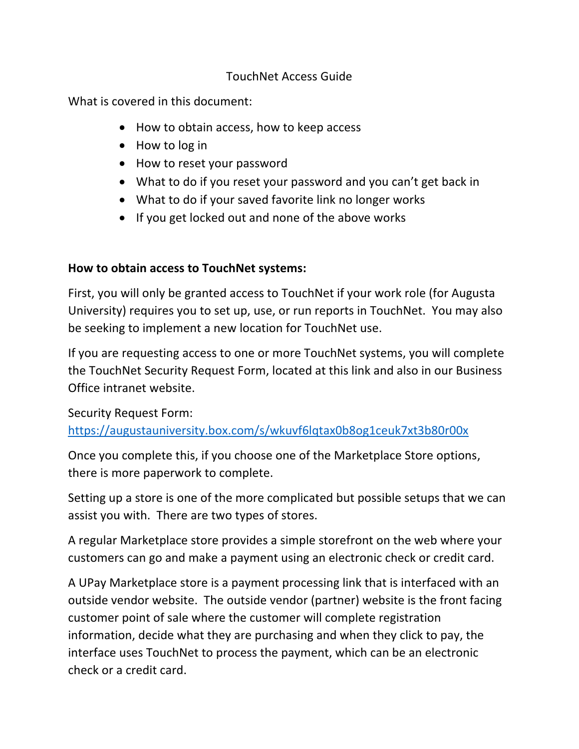#### TouchNet Access Guide

What is covered in this document:

- How to obtain access, how to keep access
- How to log in
- How to reset your password
- What to do if you reset your password and you can't get back in
- What to do if your saved favorite link no longer works
- If you get locked out and none of the above works

#### **How to obtain access to TouchNet systems:**

First, you will only be granted access to TouchNet if your work role (for Augusta University) requires you to set up, use, or run reports in TouchNet. You may also be seeking to implement a new location for TouchNet use.

If you are requesting access to one or more TouchNet systems, you will complete the TouchNet Security Request Form, located at this link and also in our Business Office intranet website.

Security Request Form:

https://augustauniversity.box.com/s/wkuvf6lqtax0b8og1ceuk7xt3b80r00x

Once you complete this, if you choose one of the Marketplace Store options, there is more paperwork to complete.

Setting up a store is one of the more complicated but possible setups that we can assist you with. There are two types of stores.

A regular Marketplace store provides a simple storefront on the web where your customers can go and make a payment using an electronic check or credit card.

A UPay Marketplace store is a payment processing link that is interfaced with an outside vendor website. The outside vendor (partner) website is the front facing customer point of sale where the customer will complete registration information, decide what they are purchasing and when they click to pay, the interface uses TouchNet to process the payment, which can be an electronic check or a credit card.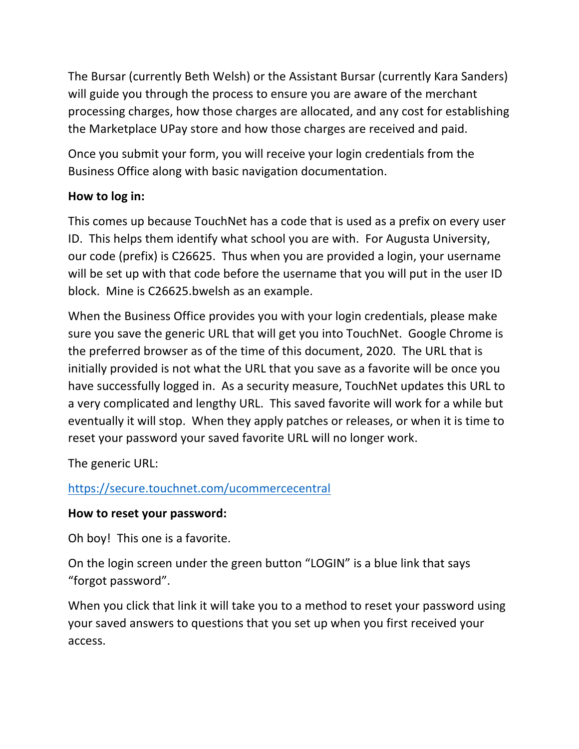The Bursar (currently Beth Welsh) or the Assistant Bursar (currently Kara Sanders) will guide you through the process to ensure you are aware of the merchant processing charges, how those charges are allocated, and any cost for establishing the Marketplace UPay store and how those charges are received and paid.

Once you submit your form, you will receive your login credentials from the Business Office along with basic navigation documentation.

### **How to log in:**

This comes up because TouchNet has a code that is used as a prefix on every user ID. This helps them identify what school you are with. For Augusta University, our code (prefix) is C26625. Thus when you are provided a login, your username will be set up with that code before the username that you will put in the user ID block. Mine is C26625.bwelsh as an example.

When the Business Office provides you with your login credentials, please make sure you save the generic URL that will get you into TouchNet. Google Chrome is the preferred browser as of the time of this document, 2020. The URL that is initially provided is not what the URL that you save as a favorite will be once you have successfully logged in. As a security measure, TouchNet updates this URL to a very complicated and lengthy URL. This saved favorite will work for a while but eventually it will stop. When they apply patches or releases, or when it is time to reset your password your saved favorite URL will no longer work.

The generic URL:

# https://secure.touchnet.com/ucommercecentral

### **How to reset your password:**

Oh boy! This one is a favorite.

On the login screen under the green button "LOGIN" is a blue link that says "forgot password".

When you click that link it will take you to a method to reset your password using your saved answers to questions that you set up when you first received your access.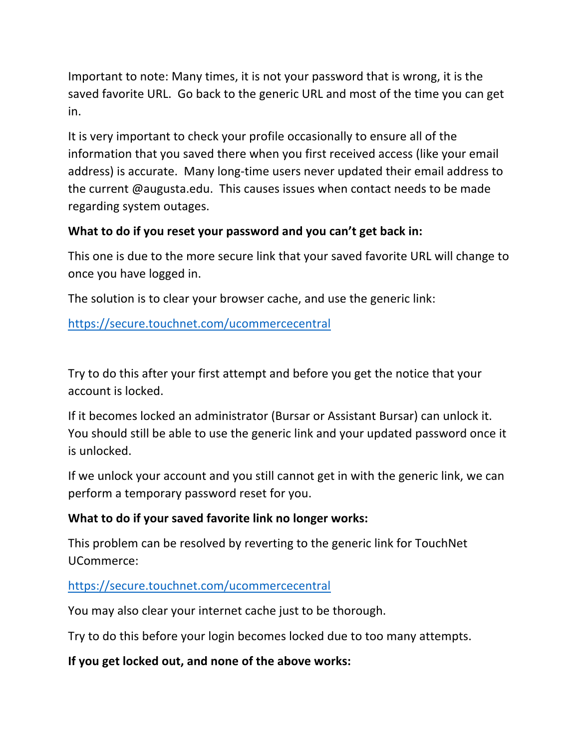Important to note: Many times, it is not your password that is wrong, it is the saved favorite URL. Go back to the generic URL and most of the time you can get in.

It is very important to check your profile occasionally to ensure all of the information that you saved there when you first received access (like your email address) is accurate. Many long-time users never updated their email address to the current @augusta.edu. This causes issues when contact needs to be made regarding system outages.

## **What to do if you reset your password and you can't get back in:**

This one is due to the more secure link that your saved favorite URL will change to once you have logged in.

The solution is to clear your browser cache, and use the generic link:

https://secure.touchnet.com/ucommercecentral

Try to do this after your first attempt and before you get the notice that your account is locked.

If it becomes locked an administrator (Bursar or Assistant Bursar) can unlock it. You should still be able to use the generic link and your updated password once it is unlocked.

If we unlock your account and you still cannot get in with the generic link, we can perform a temporary password reset for you.

### **What to do if your saved favorite link no longer works:**

This problem can be resolved by reverting to the generic link for TouchNet UCommerce:

### https://secure.touchnet.com/ucommercecentral

You may also clear your internet cache just to be thorough.

Try to do this before your login becomes locked due to too many attempts.

# **If you get locked out, and none of the above works:**